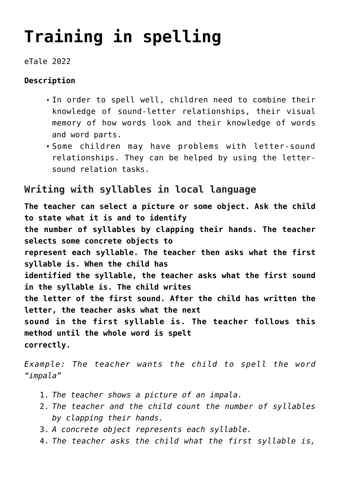# **[Training in spelling](https://dev.taleafrica.com/tips/training-in-spelling/)**

### eTale 2022

# **Description**

- In order to spell well, children need to combine their knowledge of sound-letter relationships, their visual memory of how words look and their knowledge of words and word parts.
- Some children may have problems with letter-sound relationships. They can be helped by using the lettersound relation tasks.

# **Writing with syllables in local language**

**The teacher can select a picture or some object. Ask the child to state what it is and to identify the number of syllables by clapping their hands. The teacher selects some concrete objects to represent each syllable. The teacher then asks what the first syllable is. When the child has identified the syllable, the teacher asks what the first sound in the syllable is. The child writes the letter of the first sound. After the child has written the letter, the teacher asks what the next sound in the first syllable is. The teacher follows this method until the whole word is spelt correctly.**

*Example: The teacher wants the child to spell the word "impala"*

- 1. *The teacher shows a picture of an impala.*
- 2. *The teacher and the child count the number of syllables by clapping their hands.*
- 3. *A concrete object represents each syllable.*
- 4. *The teacher asks the child what the first syllable is,*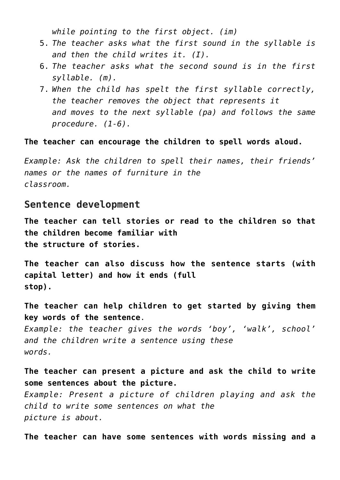*while pointing to the first object. (im)*

- 5. *The teacher asks what the first sound in the syllable is and then the child writes it. (I).*
- 6. *The teacher asks what the second sound is in the first syllable. (m).*
- 7. *When the child has spelt the first syllable correctly, the teacher removes the object that represents it and moves to the next syllable (pa) and follows the same procedure. (1-6).*

#### **The teacher can encourage the children to spell words aloud.**

*Example: Ask the children to spell their names, their friends' names or the names of furniture in the classroom.*

## **Sentence development**

**The teacher can tell stories or read to the children so that the children become familiar with the structure of stories.**

**The teacher can also discuss how the sentence starts (with capital letter) and how it ends (full stop).**

**The teacher can help children to get started by giving them key words of the sentence**.

*Example: the teacher gives the words 'boy', 'walk', school' and the children write a sentence using these words.*

**The teacher can present a picture and ask the child to write some sentences about the picture.** *Example: Present a picture of children playing and ask the child to write some sentences on what the*

*picture is about.*

**The teacher can have some sentences with words missing and a**